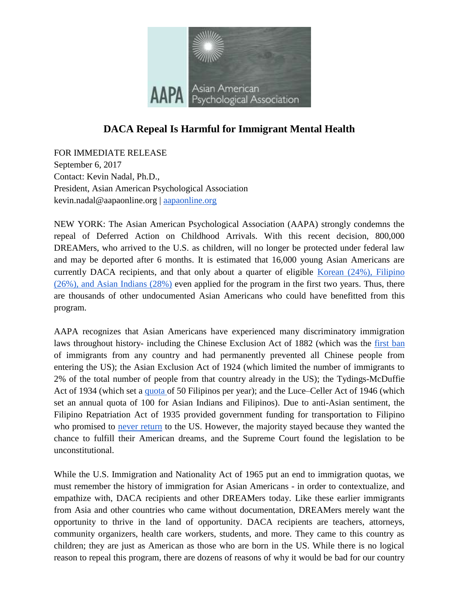

## **DACA Repeal Is Harmful for Immigrant Mental Health**

FOR IMMEDIATE RELEASE September 6, 2017 Contact: Kevin Nadal, Ph.D., President, Asian American Psychological Association kevin.nadal@aapaonline.org [|](http://aapaonline.org/) [aapaonline.org](http://aapaonline.org/)

NEW YORK: The Asian American Psychological Association (AAPA) strongly condemns the repeal of Deferred Action on Childhood Arrivals. With this recent decision, 800,000 DREAMers, who arrived to the U.S. as children, will no longer be protected under federal law and may be deported after 6 months. It is estimated that 16,000 young Asian Americans are currently DACA recipients, and that only about a quarter of eligible Korean (24%), Filipino [\(26%\), and Asian Indians \(28%\)](http://www.latimes.com/local/lanow/la-me-ln-asian-immigrants-20150220-story.html) even applied for the program in the first two years. Thus, there are thousands of other undocumented Asian Americans who could have benefitted from this program.

AAPA recognizes that Asian Americans have experienced many discriminatory immigration laws throughout history- including the Chinese Exclusion Act of 1882 (which was the [first ban](http://www.huffingtonpost.com/entry/texas-sb4s-impact-on-asian-americans-why-we-should_us_59a7127be4b00ed1aec9a532) of immigrants from any country and had permanently prevented all Chinese people from entering the US); the Asian Exclusion Act of 1924 (which limited the number of immigrants to 2% of the total number of people from that country already in the US); the Tydings-McDuffie Act of 1934 (which set a [quota o](https://m.facebook.com/notes/filipino-american-national-historical-society-fanhs/upon-daca-repeal-fanhs-reflects-on-filipino-american-history/10155736297076602/)f 50 Filipinos per year); and the Luce–Celler Act of 1946 (which set an annual quota of 100 for Asian Indians and Filipinos). Due to anti-Asian sentiment, the Filipino Repatriation Act of 1935 provided government funding for transportation to Filipino who promised to [never return](https://m.facebook.com/notes/filipino-american-national-historical-society-fanhs/upon-daca-repeal-fanhs-reflects-on-filipino-american-history/10155736297076602/) to the US. However, the majority stayed because they wanted the chance to fulfill their American dreams, and the Supreme Court found the legislation to be unconstitutional.

While the U.S. Immigration and Nationality Act of 1965 put an end to immigration quotas, we must remember the history of immigration for Asian Americans - in order to contextualize, and empathize with, DACA recipients and other DREAMers today. Like these earlier immigrants from Asia and other countries who came without documentation, DREAMers merely want the opportunity to thrive in the land of opportunity. DACA recipients are teachers, attorneys, community organizers, health care workers, students, and more. They came to this country as children; they are just as American as those who are born in the US. While there is no logical reason to repeal this program, there are dozens of reasons of why it would be bad for our country